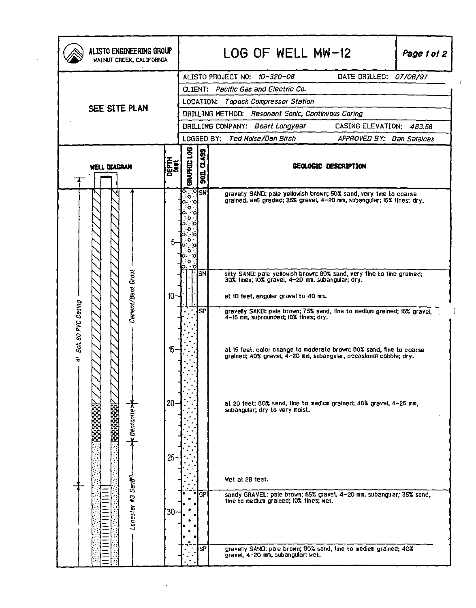| ALISTO ENGINEERING GROUP<br>WALNUT CREEK, CALIFORNIA |                  |                                                             |                                                               | LOG OF WELL MW-12                                                                                                                                                                                                                                             |  | Page 1 of 2 |  |  |  |  |
|------------------------------------------------------|------------------|-------------------------------------------------------------|---------------------------------------------------------------|---------------------------------------------------------------------------------------------------------------------------------------------------------------------------------------------------------------------------------------------------------------|--|-------------|--|--|--|--|
|                                                      |                  | DATE DRILLED: 07/08/97<br>ALISTO PROJECT NO: 10-320-08      |                                                               |                                                                                                                                                                                                                                                               |  |             |  |  |  |  |
| SEE SITE PLAN                                        |                  |                                                             | CLIENT: Pacific Gas and Electric Co.                          |                                                                                                                                                                                                                                                               |  |             |  |  |  |  |
|                                                      |                  |                                                             | Topock Compressor Station<br>LOCATION:                        |                                                                                                                                                                                                                                                               |  |             |  |  |  |  |
|                                                      |                  |                                                             | <b>DRILLING METHOD: Resonant Sonic, Continuous Coring</b>     |                                                                                                                                                                                                                                                               |  |             |  |  |  |  |
|                                                      |                  |                                                             | CASING ELEVATION: 483.58<br>DRILLING COMPANY: Boart Longyear  |                                                                                                                                                                                                                                                               |  |             |  |  |  |  |
|                                                      |                  | LOGGED BY: Ted Moise/Dan Birch<br>APPROVED BY: Dan Salaices |                                                               |                                                                                                                                                                                                                                                               |  |             |  |  |  |  |
| DEPTH<br><sup>1001</sup><br><b>WELL DIAGRAN</b>      |                  |                                                             | BRAPHIC LOG<br>01499<br>GEOLOGIC DESCRIPTION<br>$\frac{1}{2}$ |                                                                                                                                                                                                                                                               |  |             |  |  |  |  |
|                                                      |                  | ्रःबृङ्ग<br>२०<br>o                                         |                                                               | gravelly SAND: pale yellowish brown; 50% sand, very fine to coarse<br>grained, well graded; 35% gravel, 4-20 mm, subangular; 15% fines; dry.                                                                                                                  |  |             |  |  |  |  |
| Cement/Bent Grovt                                    | $10-$            |                                                             | lsм                                                           | silty SAND: pale yellowish brown; 80% sand, very fine to fine grained;<br>30% tines; IO% gravel, 4-20 mm, subangular; dry.<br>at 10 teet, angular gravel to 40 mm.                                                                                            |  |             |  |  |  |  |
| 4' Sch. 80 PVC Casing                                |                  |                                                             | <b>SP</b>                                                     | gravelly SAND: pale brown; 75% sand, fine to medium grained; i5% gravel,<br>4-15 mm, subrounded; 10% lines; dry.<br>at 15 feet, color change to moderate brown; 80% sand, fine to coarse<br>grained; 40% gravel, 4-20 mm, subangular, occasional cobble; dry. |  |             |  |  |  |  |
| : Bentonite>                                         | $20 -$           |                                                             |                                                               | at 20 feet; 80% sand, fine to medium grained; 40% gravel, 4-25 mm,<br>subangular; dry to very moist.                                                                                                                                                          |  |             |  |  |  |  |
| Lonesiar #3 Sant                                     | $25 -$<br>$30 -$ |                                                             | GP                                                            | Wet at 28 feet.<br>sandy GRAVEL: pale brown; 55% gravel, 4-20 nm, subangular; 35% sand,<br>tine to medium grained; 10% tines; wet.                                                                                                                            |  |             |  |  |  |  |
|                                                      |                  |                                                             | SP                                                            | gravelly SAND: pale brown; 60% sand, fine to medium grained; 40%<br>gravel, 4-20 mm, subangular; wet.                                                                                                                                                         |  |             |  |  |  |  |

 $\hat{\mathbf{e}}$ 

 $\langle \rangle$ 

 $\bar{\beta}$